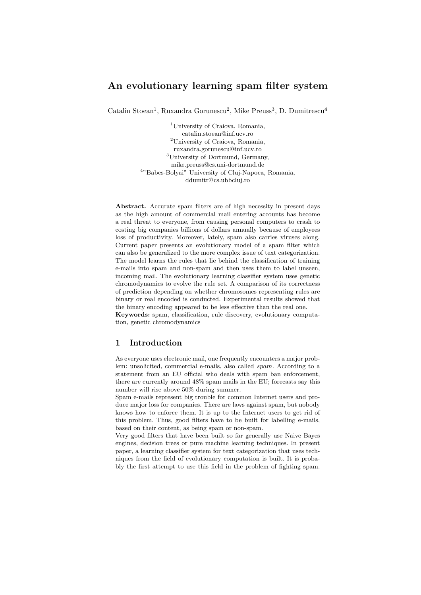# **An evolutionary learning spam filter system**

Catalin Stoean<sup>1</sup>, Ruxandra Gorunescu<sup>2</sup>, Mike Preuss<sup>3</sup>, D. Dumitrescu<sup>4</sup>

<sup>1</sup>University of Craiova, Romania, catalin.stoean@inf.ucv.ro <sup>2</sup>University of Craiova, Romania, ruxandra.gorunescu@inf.ucv.ro <sup>3</sup>University of Dortmund, Germany, mike.preuss@cs.uni-dortmund.de <sup>4</sup>"Babes-Bolyai" University of Cluj-Napoca, Romania, ddumitr@cs.ubbcluj.ro

**Abstract.** Accurate spam filters are of high necessity in present days as the high amount of commercial mail entering accounts has become a real threat to everyone, from causing personal computers to crash to costing big companies billions of dollars annually because of employees loss of productivity. Moreover, lately, spam also carries viruses along. Current paper presents an evolutionary model of a spam filter which can also be generalized to the more complex issue of text categorization. The model learns the rules that lie behind the classification of training e-mails into spam and non-spam and then uses them to label unseen, incoming mail. The evolutionary learning classifier system uses genetic chromodynamics to evolve the rule set. A comparison of its correctness of prediction depending on whether chromosomes representing rules are binary or real encoded is conducted. Experimental results showed that the binary encoding appeared to be less effective than the real one.

**Keywords:** spam, classification, rule discovery, evolutionary computation, genetic chromodynamics

# **1 Introduction**

As everyone uses electronic mail, one frequently encounters a major problem: unsolicited, commercial e-mails, also called spam. According to a statement from an EU official who deals with spam ban enforcement, there are currently around 48% spam mails in the EU; forecasts say this number will rise above 50% during summer.

Spam e-mails represent big trouble for common Internet users and produce major loss for companies. There are laws against spam, but nobody knows how to enforce them. It is up to the Internet users to get rid of this problem. Thus, good filters have to be built for labelling e-mails, based on their content, as being spam or non-spam.

Very good filters that have been built so far generally use Naive Bayes engines, decision trees or pure machine learning techniques. In present paper, a learning classifier system for text categorization that uses techniques from the field of evolutionary computation is built. It is probably the first attempt to use this field in the problem of fighting spam.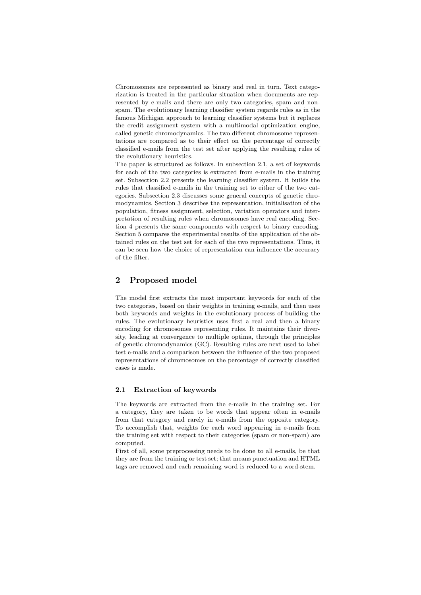Chromosomes are represented as binary and real in turn. Text categorization is treated in the particular situation when documents are represented by e-mails and there are only two categories, spam and nonspam. The evolutionary learning classifier system regards rules as in the famous Michigan approach to learning classifier systems but it replaces the credit assignment system with a multimodal optimization engine, called genetic chromodynamics. The two different chromosome representations are compared as to their effect on the percentage of correctly classified e-mails from the test set after applying the resulting rules of the evolutionary heuristics.

The paper is structured as follows. In subsection 2.1, a set of keywords for each of the two categories is extracted from e-mails in the training set. Subsection 2.2 presents the learning classifier system. It builds the rules that classified e-mails in the training set to either of the two categories. Subsection 2.3 discusses some general concepts of genetic chromodynamics. Section 3 describes the representation, initialisation of the population, fitness assignment, selection, variation operators and interpretation of resulting rules when chromosomes have real encoding. Section 4 presents the same components with respect to binary encoding. Section 5 compares the experimental results of the application of the obtained rules on the test set for each of the two representations. Thus, it can be seen how the choice of representation can influence the accuracy of the filter.

## **2 Proposed model**

The model first extracts the most important keywords for each of the two categories, based on their weights in training e-mails, and then uses both keywords and weights in the evolutionary process of building the rules. The evolutionary heuristics uses first a real and then a binary encoding for chromosomes representing rules. It maintains their diversity, leading at convergence to multiple optima, through the principles of genetic chromodynamics (GC). Resulting rules are next used to label test e-mails and a comparison between the influence of the two proposed representations of chromosomes on the percentage of correctly classified cases is made.

### **2.1 Extraction of keywords**

The keywords are extracted from the e-mails in the training set. For a category, they are taken to be words that appear often in e-mails from that category and rarely in e-mails from the opposite category. To accomplish that, weights for each word appearing in e-mails from the training set with respect to their categories (spam or non-spam) are computed.

First of all, some preprocessing needs to be done to all e-mails, be that they are from the training or test set; that means punctuation and HTML tags are removed and each remaining word is reduced to a word-stem.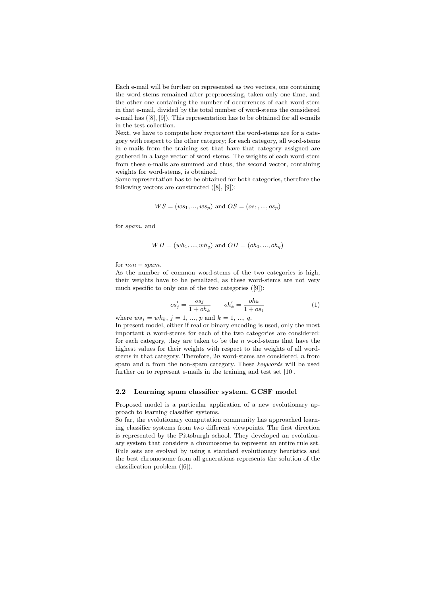Each e-mail will be further on represented as two vectors, one containing the word-stems remained after preprocessing, taken only one time, and the other one containing the number of occurrences of each word-stem in that e-mail, divided by the total number of word-stems the considered e-mail has ([8], [9]). This representation has to be obtained for all e-mails in the test collection.

Next, we have to compute how *important* the word-stems are for a category with respect to the other category; for each category, all word-stems in e-mails from the training set that have that category assigned are gathered in a large vector of word-stems. The weights of each word-stem from these e-mails are summed and thus, the second vector, containing weights for word-stems, is obtained.

Same representation has to be obtained for both categories, therefore the following vectors are constructed ([8], [9]):

$$
WS = (ws_1, ..., ws_p)
$$
 and  $OS = (os_1, ..., os_p)$ 

for spam, and

$$
WH = (wh_1, ..., wh_q)
$$
 and  $OH = (oh_1, ..., oh_q)$ 

for  $non-spam$ .

As the number of common word-stems of the two categories is high, their weights have to be penalized, as these word-stems are not very much specific to only one of the two categories ([9]):

$$
os'_{j} = \frac{os_{j}}{1 + oh_{k}} \qquad oh'_{k} = \frac{oh_{k}}{1 + os_{j}} \tag{1}
$$

where  $ws_j = wh_k$ ,  $j = 1, ..., p$  and  $k = 1, ..., q$ .

In present model, either if real or binary encoding is used, only the most important  $n$  word-stems for each of the two categories are considered: for each category, they are taken to be the  $n$  word-stems that have the highest values for their weights with respect to the weights of all wordstems in that category. Therefore, 2n word-stems are considered, n from spam and n from the non-spam category. These *keywords* will be used further on to represent e-mails in the training and test set [10].

#### **2.2 Learning spam classifier system. GCSF model**

Proposed model is a particular application of a new evolutionary approach to learning classifier systems.

So far, the evolutionary computation community has approached learning classifier systems from two different viewpoints. The first direction is represented by the Pittsburgh school. They developed an evolutionary system that considers a chromosome to represent an entire rule set. Rule sets are evolved by using a standard evolutionary heuristics and the best chromosome from all generations represents the solution of the classification problem ([6]).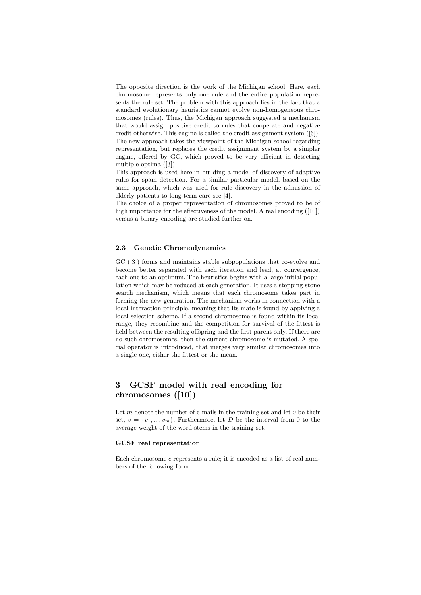The opposite direction is the work of the Michigan school. Here, each chromosome represents only one rule and the entire population represents the rule set. The problem with this approach lies in the fact that a standard evolutionary heuristics cannot evolve non-homogeneous chromosomes (rules). Thus, the Michigan approach suggested a mechanism that would assign positive credit to rules that cooperate and negative credit otherwise. This engine is called the credit assignment system ([6]). The new approach takes the viewpoint of the Michigan school regarding representation, but replaces the credit assignment system by a simpler engine, offered by GC, which proved to be very efficient in detecting multiple optima ([3]).

This approach is used here in building a model of discovery of adaptive rules for spam detection. For a similar particular model, based on the same approach, which was used for rule discovery in the admission of elderly patients to long-term care see [4].

The choice of a proper representation of chromosomes proved to be of high importance for the effectiveness of the model. A real encoding ([10]) versus a binary encoding are studied further on.

## **2.3 Genetic Chromodynamics**

GC ([3]) forms and maintains stable subpopulations that co-evolve and become better separated with each iteration and lead, at convergence, each one to an optimum. The heuristics begins with a large initial population which may be reduced at each generation. It uses a stepping-stone search mechanism, which means that each chromosome takes part in forming the new generation. The mechanism works in connection with a local interaction principle, meaning that its mate is found by applying a local selection scheme. If a second chromosome is found within its local range, they recombine and the competition for survival of the fittest is held between the resulting offspring and the first parent only. If there are no such chromosomes, then the current chromosome is mutated. A special operator is introduced, that merges very similar chromosomes into a single one, either the fittest or the mean.

# **3 GCSF model with real encoding for chromosomes ([10])**

Let  $m$  denote the number of e-mails in the training set and let  $v$  be their set,  $v = \{v_1, ..., v_m\}$ . Furthermore, let D be the interval from 0 to the average weight of the word-stems in the training set.

#### **GCSF real representation**

Each chromosome c represents a rule; it is encoded as a list of real numbers of the following form: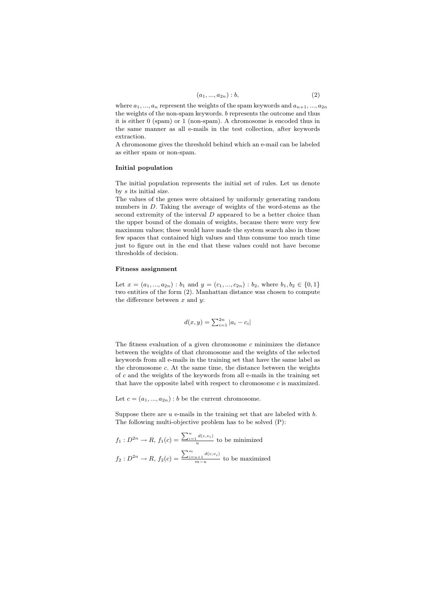$$
(a_1, ..., a_{2n}) : b,
$$
\n<sup>(2)</sup>

where  $a_1, ..., a_n$  represent the weights of the spam keywords and  $a_{n+1}, ..., a_{2n}$ the weights of the non-spam keywords. b represents the outcome and thus it is either 0 (spam) or 1 (non-spam). A chromosome is encoded thus in the same manner as all e-mails in the test collection, after keywords extraction.

A chromosome gives the threshold behind which an e-mail can be labeled as either spam or non-spam.

#### **Initial population**

The initial population represents the initial set of rules. Let us denote by s its initial size.

The values of the genes were obtained by uniformly generating random numbers in D. Taking the average of weights of the word-stems as the second extremity of the interval  $D$  appeared to be a better choice than the upper bound of the domain of weights, because there were very few maximum values; these would have made the system search also in those few spaces that contained high values and thus consume too much time just to figure out in the end that these values could not have become thresholds of decision.

### **Fitness assignment**

Let  $x = (a_1, ..., a_{2n}) : b_1$  and  $y = (c_1, ..., c_{2n}) : b_2$ , where  $b_1, b_2 \in \{0, 1\}$ two entities of the form (2). Manhattan distance was chosen to compute the difference between  $x$  and  $y$ :

$$
d(x, y) = \sum_{i=1}^{2n} |a_i - c_i|
$$

The fitness evaluation of a given chromosome  $c$  minimizes the distance between the weights of that chromosome and the weights of the selected keywords from all e-mails in the training set that have the same label as the chromosome c. At the same time, the distance between the weights of  $c$  and the weights of the keywords from all e-mails in the training set that have the opposite label with respect to chromosome  $c$  is maximized.

Let  $c = (a_1, ..., a_{2n}) : b$  be the current chromosome.

Suppose there are  $u$  e-mails in the training set that are labeled with  $b$ . The following multi-objective problem has to be solved (P):

$$
f_1: D^{2n} \to R, f_1(c) = \frac{\sum_{i=1}^u d(c, v_i)}{u} \text{ to be minimized}
$$

$$
f_2: D^{2n} \to R, f_2(c) = \frac{\sum_{i=u+1}^m d(c, v_i)}{m-u} \text{ to be maximized}
$$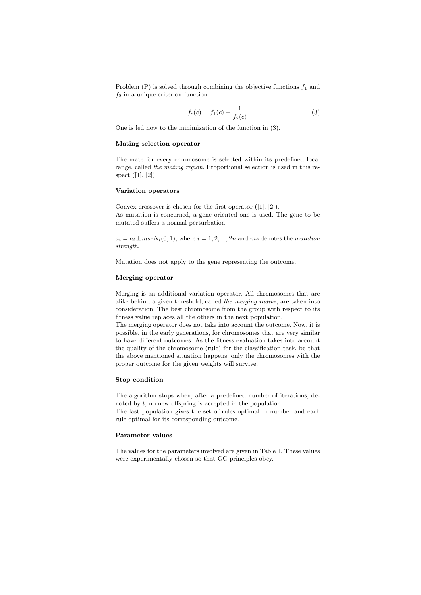Problem  $(P)$  is solved through combining the objective functions  $f_1$  and  $f_2$  in a unique criterion function:

$$
f_c(c) = f_1(c) + \frac{1}{f_2(c)}
$$
\n(3)

One is led now to the minimization of the function in (3).

#### **Mating selection operator**

The mate for every chromosome is selected within its predefined local range, called *the mating region*. Proportional selection is used in this respect  $([1], [2])$ .

#### **Variation operators**

Convex crossover is chosen for the first operator ([1], [2]). As mutation is concerned, a gene oriented one is used. The gene to be mutated suffers a normal perturbation:

 $a_i = a_i \pm ms \cdot N_i(0, 1)$ , where  $i = 1, 2, ..., 2n$  and ms denotes the *mutation strength*.

Mutation does not apply to the gene representing the outcome.

#### **Merging operator**

Merging is an additional variation operator. All chromosomes that are alike behind a given threshold, called *the merging radius*, are taken into consideration. The best chromosome from the group with respect to its fitness value replaces all the others in the next population.

The merging operator does not take into account the outcome. Now, it is possible, in the early generations, for chromosomes that are very similar to have different outcomes. As the fitness evaluation takes into account the quality of the chromosome (rule) for the classification task, be that the above mentioned situation happens, only the chromosomes with the proper outcome for the given weights will survive.

#### **Stop condition**

The algorithm stops when, after a predefined number of iterations, denoted by t, no new offspring is accepted in the population.

The last population gives the set of rules optimal in number and each rule optimal for its corresponding outcome.

### **Parameter values**

The values for the parameters involved are given in Table 1. These values were experimentally chosen so that GC principles obey.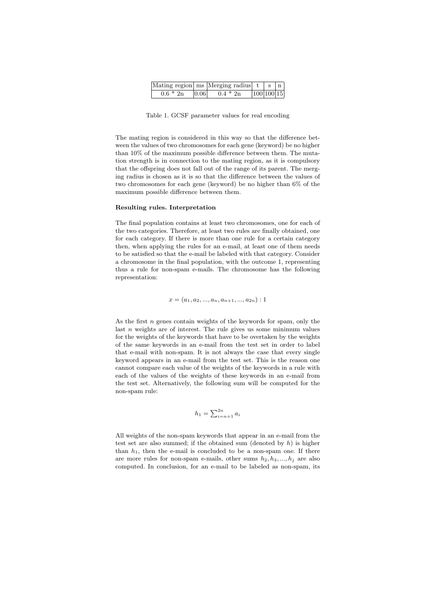|            |      | Mating region ms Merging radius $t \mid s \mid n$ |            |  |
|------------|------|---------------------------------------------------|------------|--|
| $0.6 * 2n$ | 0.06 | $0.4 * 2n$                                        | 100 100 15 |  |

Table 1. GCSF parameter values for real encoding

The mating region is considered in this way so that the difference between the values of two chromosomes for each gene (keyword) be no higher than 10% of the maximum possible difference between them. The mutation strength is in connection to the mating region, as it is compulsory that the offspring does not fall out of the range of its parent. The merging radius is chosen as it is so that the difference between the values of two chromosomes for each gene (keyword) be no higher than 6% of the maximum possible difference between them.

#### **Resulting rules. Interpretation**

The final population contains at least two chromosomes, one for each of the two categories. Therefore, at least two rules are finally obtained, one for each category. If there is more than one rule for a certain category then, when applying the rules for an e-mail, at least one of them needs to be satisfied so that the e-mail be labeled with that category. Consider a chromosome in the final population, with the outcome 1, representing thus a rule for non-spam e-mails. The chromosome has the following representation:

 $x = (a_1, a_2, ..., a_n, a_{n+1}, ..., a_{2n}):1$ 

As the first  $n$  genes contain weights of the keywords for spam, only the last  $n$  weights are of interest. The rule gives us some minimum values for the weights of the keywords that have to be overtaken by the weights of the same keywords in an e-mail from the test set in order to label that e-mail with non-spam. It is not always the case that every single keyword appears in an e-mail from the test set. This is the reason one cannot compare each value of the weights of the keywords in a rule with each of the values of the weights of these keywords in an e-mail from the test set. Alternatively, the following sum will be computed for the non-spam rule:

$$
h_1 = \sum_{i=n+1}^{2n} a_i
$$

All weights of the non-spam keywords that appear in an e-mail from the test set are also summed; if the obtained sum (denoted by  $h$ ) is higher than  $h_1$ , then the e-mail is concluded to be a non-spam one. If there are more rules for non-spam e-mails, other sums  $h_2, h_3, ..., h_j$  are also computed. In conclusion, for an e-mail to be labeled as non-spam, its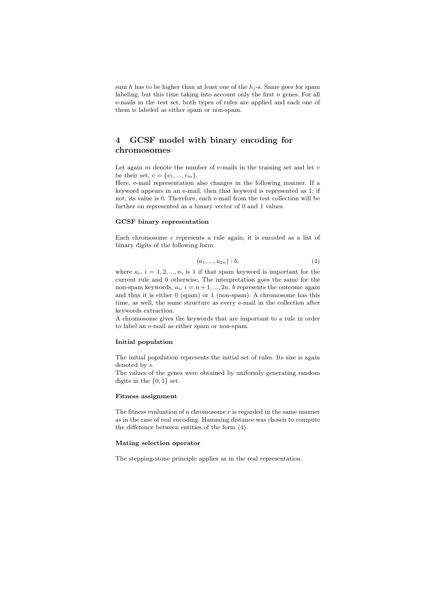sum h has to be higher than at least one of the  $h_j$ -s. Same goes for spam labeling, but this time taking into account only the first  $n$  genes. For all e-mails in the test set, both types of rules are applied and each one of them is labeled as either spam or non-spam.

# **4 GCSF model with binary encoding for chromosomes**

Let again  $m$  denote the number of e-mails in the training set and let  $v$ be their set,  $v = \{v_1, ..., v_m\}.$ 

Here, e-mail representation also changes in the following manner. If a keyword appears in an e-mail, then that keyword is represented as 1; if not, its value is 0. Therefore, each e-mail from the test collection will be further on represented as a binary vector of 0 and 1 values.

## **GCSF binary representation**

Each chromosome c represents a rule again; it is encoded as a list of binary digits of the following form:

$$
(a_1, ..., a_{2n}) : b,
$$
\n<sup>(4)</sup>

where  $a_i$ ,  $i = 1, 2, ..., n$ , is 1 if that spam keyword is important for the current rule and 0 otherwise. The interpretation goes the same for the non-spam keywords,  $a_i$ ,  $i = n + 1, ..., 2n$ . b represents the outcome again and thus it is either 0 (spam) or 1 (non-spam). A chromosome has this time, as well, the same structure as every e-mail in the collection after keywords extraction.

A chromosome gives the keywords that are important to a rule in order to label an e-mail as either spam or non-spam.

#### **Initial population**

The initial population represents the initial set of rules. Its size is again denoted by s.

The values of the genes were obtained by uniformly generating random digits in the  $\{0, 1\}$  set.

#### **Fitness assignment**

The fitness evaluation of a chromosome  $c$  is regarded in the same manner as in the case of real encoding. Hamming distance was chosen to compute the difference between entities of the form (4).

### **Mating selection operator**

The stepping-stone principle applies as in the real representation.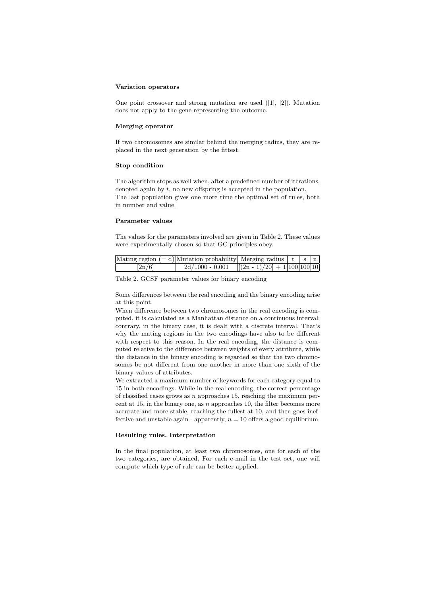#### **Variation operators**

One point crossover and strong mutation are used ([1], [2]). Mutation does not apply to the gene representing the outcome.

#### **Merging operator**

If two chromosomes are similar behind the merging radius, they are replaced in the next generation by the fittest.

### **Stop condition**

The algorithm stops as well when, after a predefined number of iterations, denoted again by  $t$ , no new offspring is accepted in the population. The last population gives one more time the optimal set of rules, both in number and value.

## **Parameter values**

The values for the parameters involved are given in Table 2. These values were experimentally chosen so that GC principles obey.

|                     | Mating region $(= d)$ Mutation probability Merging radius $ t $ s $ n $ |  |  |
|---------------------|-------------------------------------------------------------------------|--|--|
| $\left[2n/6\right]$ | $2d/1000 - 0.001$ $[(2n - 1)/20] + 1 100 100 10]$                       |  |  |

Table 2. GCSF parameter values for binary encoding

Some differences between the real encoding and the binary encoding arise at this point.

When difference between two chromosomes in the real encoding is computed, it is calculated as a Manhattan distance on a continuous interval; contrary, in the binary case, it is dealt with a discrete interval. That's why the mating regions in the two encodings have also to be different with respect to this reason. In the real encoding, the distance is computed relative to the difference between weights of every attribute, while the distance in the binary encoding is regarded so that the two chromosomes be not different from one another in more than one sixth of the binary values of attributes.

We extracted a maximum number of keywords for each category equal to 15 in both encodings. While in the real encoding, the correct percentage of classified cases grows as  $n$  approaches 15, reaching the maximum percent at 15, in the binary one, as  $n$  approaches 10, the filter becomes more accurate and more stable, reaching the fullest at 10, and then goes ineffective and unstable again - apparently,  $n = 10$  offers a good equilibrium.

#### **Resulting rules. Interpretation**

In the final population, at least two chromosomes, one for each of the two categories, are obtained. For each e-mail in the test set, one will compute which type of rule can be better applied.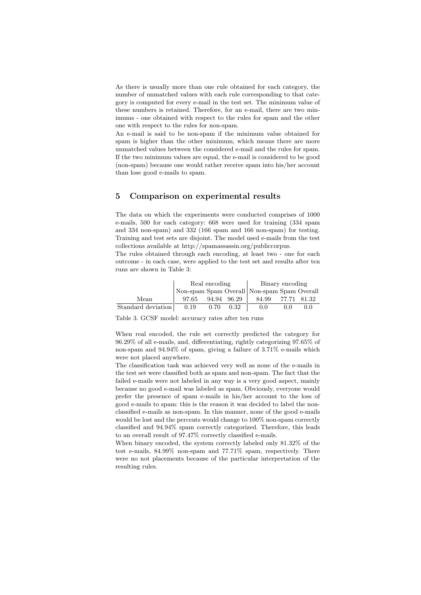As there is usually more than one rule obtained for each category, the number of unmatched values with each rule corresponding to that category is computed for every e-mail in the test set. The minimum value of these numbers is retained. Therefore, for an e-mail, there are two minimums - one obtained with respect to the rules for spam and the other one with respect to the rules for non-spam.

An e-mail is said to be non-spam if the minimum value obtained for spam is higher than the other minimum, which means there are more unmatched values between the considered e-mail and the rules for spam. If the two minimum values are equal, the e-mail is considered to be good (non-spam) because one would rather receive spam into his/her account than lose good e-mails to spam.

## **5 Comparison on experimental results**

The data on which the experiments were conducted comprises of 1000 e-mails, 500 for each category: 668 were used for training (334 spam and 334 non-spam) and 332 (166 spam and 166 non-spam) for testing. Training and test sets are disjoint. The model used e-mails from the test collections available at http://spamassassin.org/publiccorpus.

The rules obtained through each encoding, at least two - one for each outcome - in each case, were applied to the test set and results after ten runs are shown in Table 3:

|                    | Real encoding |      |             | Binary encoding                             |       |             |  |
|--------------------|---------------|------|-------------|---------------------------------------------|-------|-------------|--|
|                    |               |      |             | Non-spam Spam Overall Non-spam Spam Overall |       |             |  |
| Mean               | 97.65         |      | 94.94 96.29 | 84.99                                       |       | 77.71 81.32 |  |
| Standard deviation | 0.19          | 0.70 | 0.32        | 0.0                                         | (0,0) | 0.0         |  |

Table 3. GCSF model: accuracy rates after ten runs

When real encoded, the rule set correctly predicted the category for 96.29% of all e-mails, and, differentiating, rightly categorizing 97.65% of non-spam and 94.94% of spam, giving a failure of 3.71% e-mails which were not placed anywhere.

The classification task was achieved very well as none of the e-mails in the test set were classified both as spam and non-spam. The fact that the failed e-mails were not labeled in any way is a very good aspect, mainly because no good e-mail was labeled as spam. Obviously, everyone would prefer the presence of spam e-mails in his/her account to the loss of good e-mails to spam: this is the reason it was decided to label the nonclassified e-mails as non-spam. In this manner, none of the good e-mails would be lost and the percents would change to 100% non-spam correctly classified and 94.94% spam correctly categorized. Therefore, this leads to an overall result of 97.47% correctly classified e-mails.

When binary encoded, the system correctly labeled only 81.32% of the test e-mails, 84.99% non-spam and 77.71% spam, respectively. There were no not placements because of the particular interpretation of the resulting rules.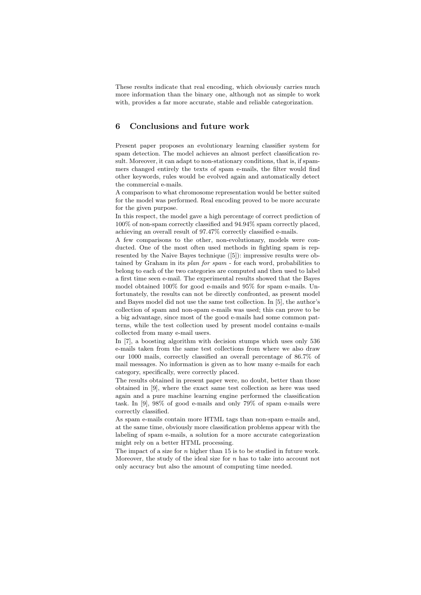These results indicate that real encoding, which obviously carries much more information than the binary one, although not as simple to work with, provides a far more accurate, stable and reliable categorization.

## **6 Conclusions and future work**

Present paper proposes an evolutionary learning classifier system for spam detection. The model achieves an almost perfect classification result. Moreover, it can adapt to non-stationary conditions, that is, if spammers changed entirely the texts of spam e-mails, the filter would find other keywords, rules would be evolved again and automatically detect the commercial e-mails.

A comparison to what chromosome representation would be better suited for the model was performed. Real encoding proved to be more accurate for the given purpose.

In this respect, the model gave a high percentage of correct prediction of 100% of non-spam correctly classified and 94.94% spam correctly placed, achieving an overall result of 97.47% correctly classified e-mails.

A few comparisons to the other, non-evolutionary, models were conducted. One of the most often used methods in fighting spam is represented by the Naive Bayes technique ([5]): impressive results were obtained by Graham in its *plan for spam* - for each word, probabilities to belong to each of the two categories are computed and then used to label a first time seen e-mail. The experimental results showed that the Bayes model obtained 100% for good e-mails and 95% for spam e-mails. Unfortunately, the results can not be directly confronted, as present model and Bayes model did not use the same test collection. In [5], the author's collection of spam and non-spam e-mails was used; this can prove to be a big advantage, since most of the good e-mails had some common patterns, while the test collection used by present model contains e-mails collected from many e-mail users.

In [7], a boosting algorithm with decision stumps which uses only 536 e-mails taken from the same test collections from where we also draw our 1000 mails, correctly classified an overall percentage of 86.7% of mail messages. No information is given as to how many e-mails for each category, specifically, were correctly placed.

The results obtained in present paper were, no doubt, better than those obtained in [9], where the exact same test collection as here was used again and a pure machine learning engine performed the classification task. In [9], 98% of good e-mails and only 79% of spam e-mails were correctly classified.

As spam e-mails contain more HTML tags than non-spam e-mails and, at the same time, obviously more classification problems appear with the labeling of spam e-mails, a solution for a more accurate categorization might rely on a better HTML processing.

The impact of a size for  $n$  higher than 15 is to be studied in future work. Moreover, the study of the ideal size for  $n$  has to take into account not only accuracy but also the amount of computing time needed.